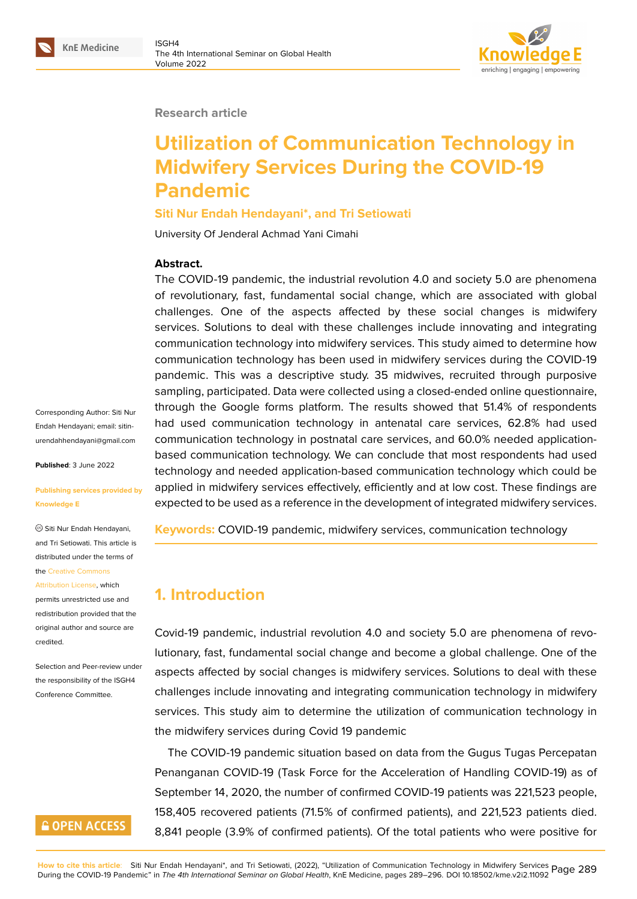#### **Research article**

# **Utilization of Communication Technology in Midwifery Services During the COVID-19 Pandemic**

### **Siti Nur Endah Hendayani\*, and Tri Setiowati**

University Of Jenderal Achmad Yani Cimahi

#### **Abstract.**

The COVID-19 pandemic, the industrial revolution 4.0 and society 5.0 are phenomena of revolutionary, fast, fundamental social change, which are associated with global challenges. One of the aspects affected by these social changes is midwifery services. Solutions to deal with these challenges include innovating and integrating communication technology into midwifery services. This study aimed to determine how communication technology has been used in midwifery services during the COVID-19 pandemic. This was a descriptive study. 35 midwives, recruited through purposive sampling, participated. Data were collected using a closed-ended online questionnaire, through the Google forms platform. The results showed that 51.4% of respondents had used communication technology in antenatal care services, 62.8% had used communication technology in postnatal care services, and 60.0% needed applicationbased communication technology. We can conclude that most respondents had used technology and needed application-based communication technology which could be applied in midwifery services effectively, efficiently and at low cost. These findings are expected to be used as a reference in the development of integrated midwifery services.

**Keywords:** COVID-19 pandemic, midwifery services, communication technology

# **1. Introduction**

Covid-19 pandemic, industrial revolution 4.0 and society 5.0 are phenomena of revolutionary, fast, fundamental social change and become a global challenge. One of the aspects affected by social changes is midwifery services. Solutions to deal with these challenges include innovating and integrating communication technology in midwifery services. This study aim to determine the utilization of communication technology in the midwifery services during Covid 19 pandemic

The COVID-19 pandemic situation based on data from the Gugus Tugas Percepatan Penanganan COVID-19 (Task Force for the Acceleration of Handling COVID-19) as of September 14, 2020, the number of confirmed COVID-19 patients was 221,523 people, 158,405 recovered patients (71.5% of confirmed patients), and 221,523 patients died. 8,841 people (3.9% of confirmed patients). Of the total patients who were positive for

Corresponding Author: Siti Nur Endah Hendayani; email: sitinurendahhendayani@gmail.com

**Published**: 3 June 2022

#### **[Publishing services provided b](mailto:sitinurendahhendayani@gmail.com)y Knowledge E**

Siti Nur Endah Hendayani, and Tri Setiowati. This article is distributed under the terms of the Creative Commons

Attribution License, which permits unrestricted use and redistribution provided that the orig[inal author and sou](https://creativecommons.org/licenses/by/4.0/)rce are

[credited.](https://creativecommons.org/licenses/by/4.0/)

Selection and Peer-review under the responsibility of the ISGH4 Conference Committee.

# **GOPEN ACCESS**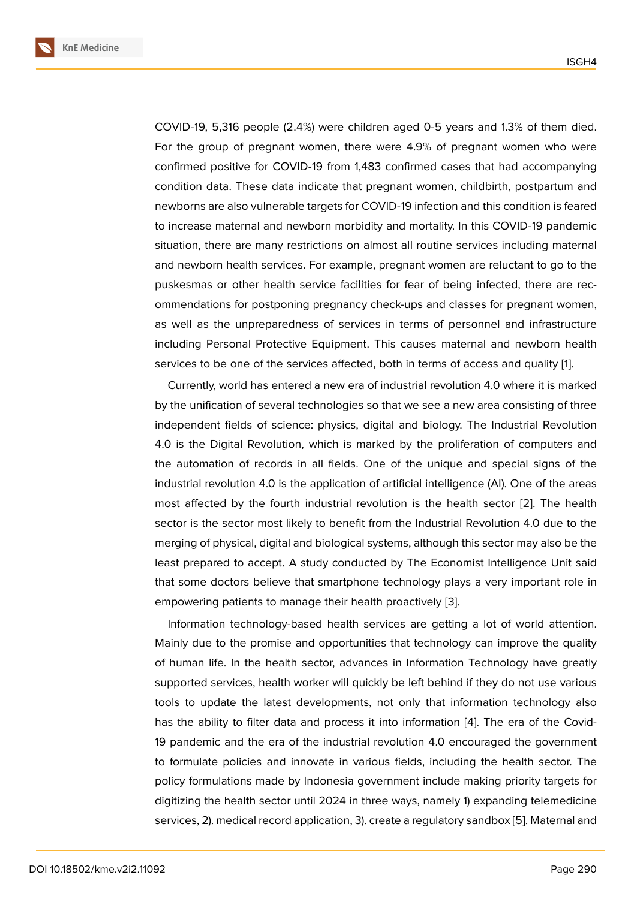COVID-19, 5,316 people (2.4%) were children aged 0-5 years and 1.3% of them died. For the group of pregnant women, there were 4.9% of pregnant women who were confirmed positive for COVID-19 from 1,483 confirmed cases that had accompanying condition data. These data indicate that pregnant women, childbirth, postpartum and newborns are also vulnerable targets for COVID-19 infection and this condition is feared to increase maternal and newborn morbidity and mortality. In this COVID-19 pandemic situation, there are many restrictions on almost all routine services including maternal and newborn health services. For example, pregnant women are reluctant to go to the puskesmas or other health service facilities for fear of being infected, there are recommendations for postponing pregnancy check-ups and classes for pregnant women, as well as the unpreparedness of services in terms of personnel and infrastructure including Personal Protective Equipment. This causes maternal and newborn health services to be one of the services affected, both in terms of access and quality [1].

Currently, world has entered a new era of industrial revolution 4.0 where it is marked by the unification of several technologies so that we see a new area consisting of three independent fields of science: physics, digital and biology. The Industrial Rev[ol](#page-6-0)ution 4.0 is the Digital Revolution, which is marked by the proliferation of computers and the automation of records in all fields. One of the unique and special signs of the industrial revolution 4.0 is the application of artificial intelligence (AI). One of the areas most affected by the fourth industrial revolution is the health sector [2]. The health sector is the sector most likely to benefit from the Industrial Revolution 4.0 due to the merging of physical, digital and biological systems, although this sector may also be the least prepared to accept. A study conducted by The Economist Intellig[en](#page-6-1)ce Unit said that some doctors believe that smartphone technology plays a very important role in empowering patients to manage their health proactively [3].

Information technology-based health services are getting a lot of world attention. Mainly due to the promise and opportunities that technology can improve the quality of human life. In the health sector, advances in Informa[tio](#page-6-2)n Technology have greatly supported services, health worker will quickly be left behind if they do not use various tools to update the latest developments, not only that information technology also has the ability to filter data and process it into information [4]. The era of the Covid-19 pandemic and the era of the industrial revolution 4.0 encouraged the government to formulate policies and innovate in various fields, including the health sector. The policy formulations made by Indonesia government include [ma](#page-6-3)king priority targets for digitizing the health sector until 2024 in three ways, namely 1) expanding telemedicine services, 2). medical record application, 3). create a regulatory sandbox [5]. Maternal and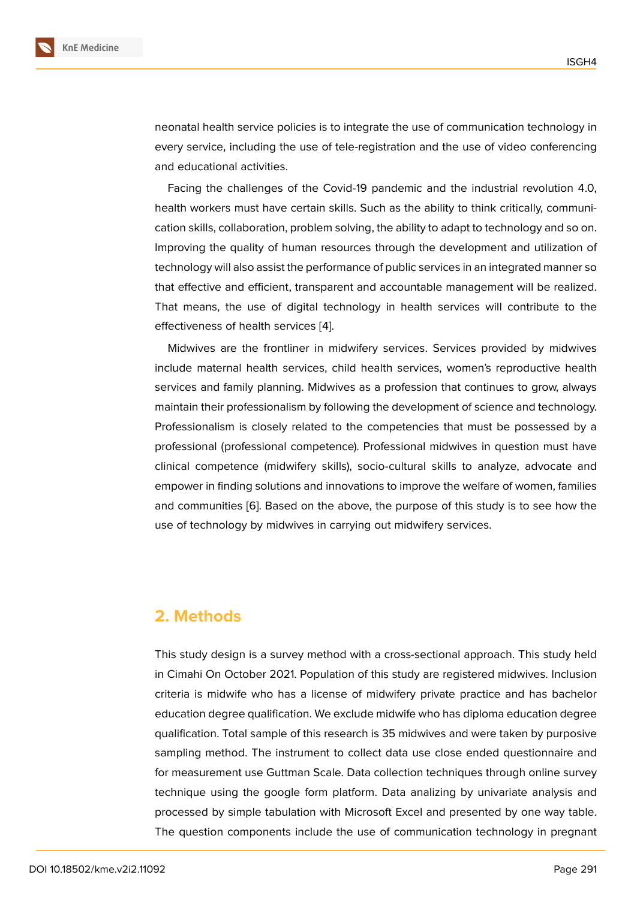neonatal health service policies is to integrate the use of communication technology in every service, including the use of tele-registration and the use of video conferencing and educational activities.

Facing the challenges of the Covid-19 pandemic and the industrial revolution 4.0, health workers must have certain skills. Such as the ability to think critically, communication skills, collaboration, problem solving, the ability to adapt to technology and so on. Improving the quality of human resources through the development and utilization of technology will also assist the performance of public services in an integrated manner so that effective and efficient, transparent and accountable management will be realized. That means, the use of digital technology in health services will contribute to the effectiveness of health services [4].

Midwives are the frontliner in midwifery services. Services provided by midwives include maternal health services, child health services, women's reproductive health services and family planning. Mi[dw](#page-6-3)ives as a profession that continues to grow, always maintain their professionalism by following the development of science and technology. Professionalism is closely related to the competencies that must be possessed by a professional (professional competence). Professional midwives in question must have clinical competence (midwifery skills), socio-cultural skills to analyze, advocate and empower in finding solutions and innovations to improve the welfare of women, families and communities [6]. Based on the above, the purpose of this study is to see how the use of technology by midwives in carrying out midwifery services.

## **2. Methods**

This study design is a survey method with a cross-sectional approach. This study held in Cimahi On October 2021. Population of this study are registered midwives. Inclusion criteria is midwife who has a license of midwifery private practice and has bachelor education degree qualification. We exclude midwife who has diploma education degree qualification. Total sample of this research is 35 midwives and were taken by purposive sampling method. The instrument to collect data use close ended questionnaire and for measurement use Guttman Scale. Data collection techniques through online survey technique using the google form platform. Data analizing by univariate analysis and processed by simple tabulation with Microsoft Excel and presented by one way table. The question components include the use of communication technology in pregnant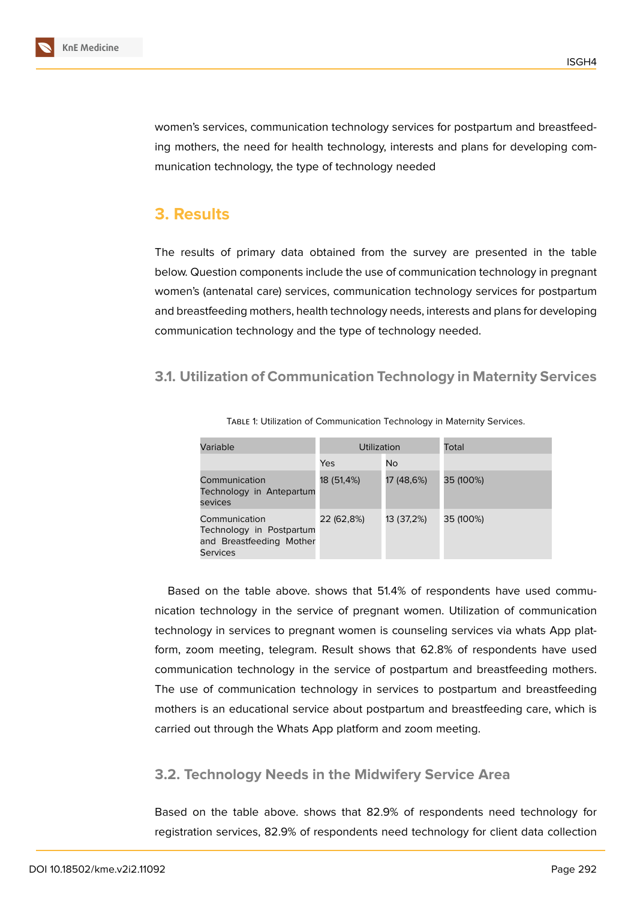

women's services, communication technology services for postpartum and breastfeeding mothers, the need for health technology, interests and plans for developing communication technology, the type of technology needed

# **3. Results**

The results of primary data obtained from the survey are presented in the table below. Question components include the use of communication technology in pregnant women's (antenatal care) services, communication technology services for postpartum and breastfeeding mothers, health technology needs, interests and plans for developing communication technology and the type of technology needed.

## **3.1. Utilization of Communication Technology in Maternity Services**

| Variable                                                                                 | Utilization |            | Total     |  |
|------------------------------------------------------------------------------------------|-------------|------------|-----------|--|
|                                                                                          | Yes         | No         |           |  |
| Communication<br>Technology in Antepartum<br>sevices                                     | 18 (51,4%)  | 17 (48,6%) | 35 (100%) |  |
| Communication<br>Technology in Postpartum<br>and Breastfeeding Mother<br><b>Services</b> | 22 (62,8%)  | 13 (37,2%) | 35 (100%) |  |

Table 1: Utilization of Communication Technology in Maternity Services.

Based on the table above. shows that 51.4% of respondents have used communication technology in the service of pregnant women. Utilization of communication technology in services to pregnant women is counseling services via whats App platform, zoom meeting, telegram. Result shows that 62.8% of respondents have used communication technology in the service of postpartum and breastfeeding mothers. The use of communication technology in services to postpartum and breastfeeding mothers is an educational service about postpartum and breastfeeding care, which is carried out through the Whats App platform and zoom meeting.

## **3.2. Technology Needs in the Midwifery Service Area**

Based on the table above. shows that 82.9% of respondents need technology for registration services, 82.9% of respondents need technology for client data collection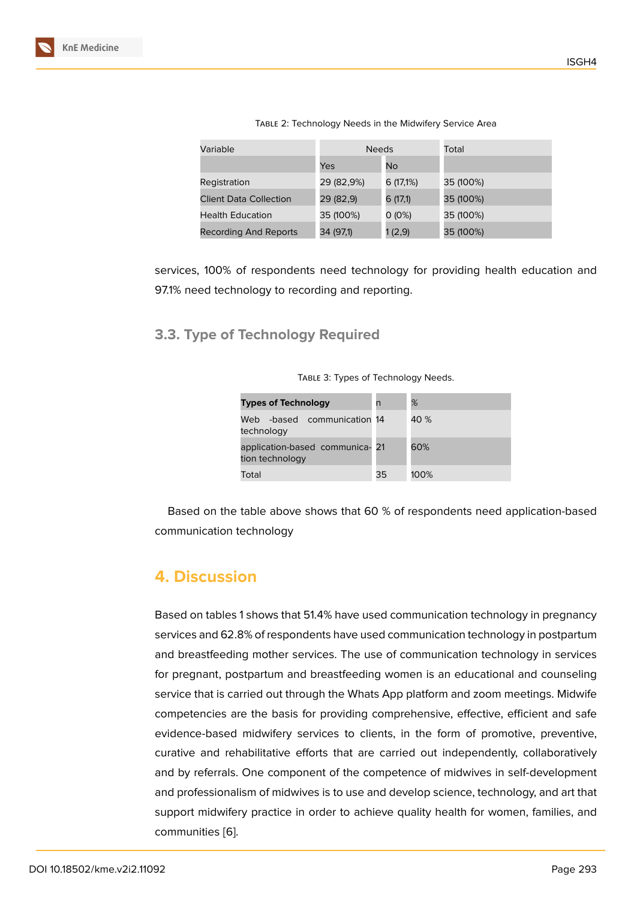| TABLE 2: Technology Needs in the Midwifery Service Area |  |  |  |
|---------------------------------------------------------|--|--|--|
|                                                         |  |  |  |

| Variable                      | <b>Needs</b> |           | Total     |
|-------------------------------|--------------|-----------|-----------|
|                               | Yes          | No        |           |
| Registration                  | 29 (82,9%)   | 6 (17,1%) | 35 (100%) |
| <b>Client Data Collection</b> | 29 (82,9)    | 6 (17,1)  | 35 (100%) |
| <b>Health Education</b>       | 35 (100%)    | $0(0\%)$  | 35 (100%) |
| Recording And Reports         | 34 (97,1)    | 1(2,9)    | 35 (100%) |

services, 100% of respondents need technology for providing health education and 97.1% need technology to recording and reporting.

**3.3. Type of Technology Required**

| <b>Types of Technology</b>                         | n  | %    |
|----------------------------------------------------|----|------|
| -based communication 14<br>Web<br>technology       |    | 40 % |
| application-based communica- 21<br>tion technology |    | 60%  |
| Total                                              | 35 | 100% |

TABLE 3: Types of Technology Needs.

Based on the table above shows that 60 % of respondents need application-based communication technology

# **4. Discussion**

Based on tables 1 shows that 51.4% have used communication technology in pregnancy services and 62.8% of respondents have used communication technology in postpartum and breastfeeding mother services. The use of communication technology in services for pregnant, postpartum and breastfeeding women is an educational and counseling service that is carried out through the Whats App platform and zoom meetings. Midwife competencies are the basis for providing comprehensive, effective, efficient and safe evidence-based midwifery services to clients, in the form of promotive, preventive, curative and rehabilitative efforts that are carried out independently, collaboratively and by referrals. One component of the competence of midwives in self-development and professionalism of midwives is to use and develop science, technology, and art that support midwifery practice in order to achieve quality health for women, families, and communities [6].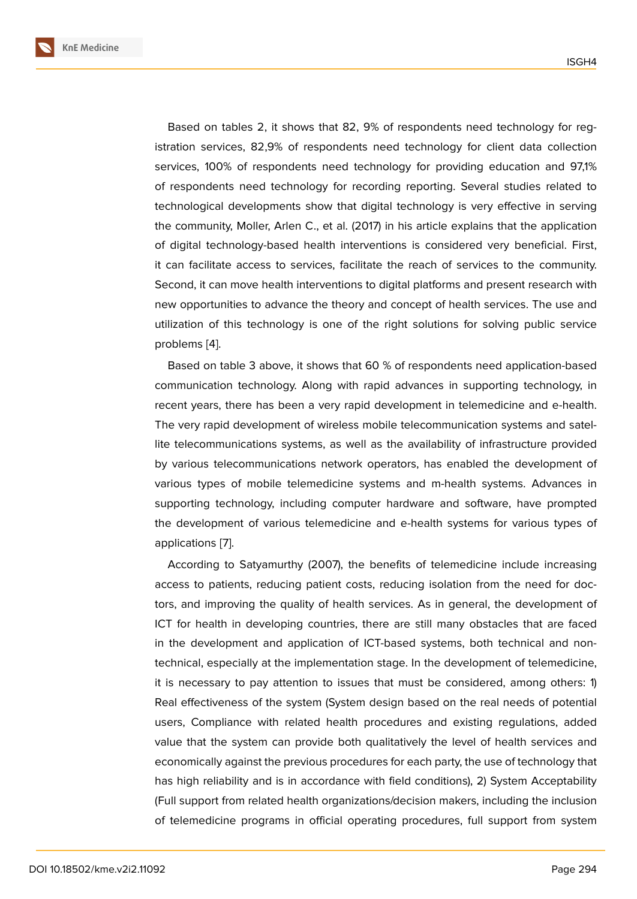Based on tables 2, it shows that 82, 9% of respondents need technology for registration services, 82,9% of respondents need technology for client data collection services, 100% of respondents need technology for providing education and 97,1% of respondents need technology for recording reporting. Several studies related to technological developments show that digital technology is very effective in serving the community, Moller, Arlen C., et al. (2017) in his article explains that the application of digital technology-based health interventions is considered very beneficial. First, it can facilitate access to services, facilitate the reach of services to the community. Second, it can move health interventions to digital platforms and present research with new opportunities to advance the theory and concept of health services. The use and utilization of this technology is one of the right solutions for solving public service problems [4].

Based on table 3 above, it shows that 60 % of respondents need application-based communication technology. Along with rapid advances in supporting technology, in recent yea[rs](#page-6-3), there has been a very rapid development in telemedicine and e-health. The very rapid development of wireless mobile telecommunication systems and satellite telecommunications systems, as well as the availability of infrastructure provided by various telecommunications network operators, has enabled the development of various types of mobile telemedicine systems and m-health systems. Advances in supporting technology, including computer hardware and software, have prompted the development of various telemedicine and e-health systems for various types of applications [7].

According to Satyamurthy (2007), the benefits of telemedicine include increasing access to patients, reducing patient costs, reducing isolation from the need for doctors, and im[pro](#page-7-0)ving the quality of health services. As in general, the development of ICT for health in developing countries, there are still many obstacles that are faced in the development and application of ICT-based systems, both technical and nontechnical, especially at the implementation stage. In the development of telemedicine, it is necessary to pay attention to issues that must be considered, among others: 1) Real effectiveness of the system (System design based on the real needs of potential users, Compliance with related health procedures and existing regulations, added value that the system can provide both qualitatively the level of health services and economically against the previous procedures for each party, the use of technology that has high reliability and is in accordance with field conditions), 2) System Acceptability (Full support from related health organizations/decision makers, including the inclusion of telemedicine programs in official operating procedures, full support from system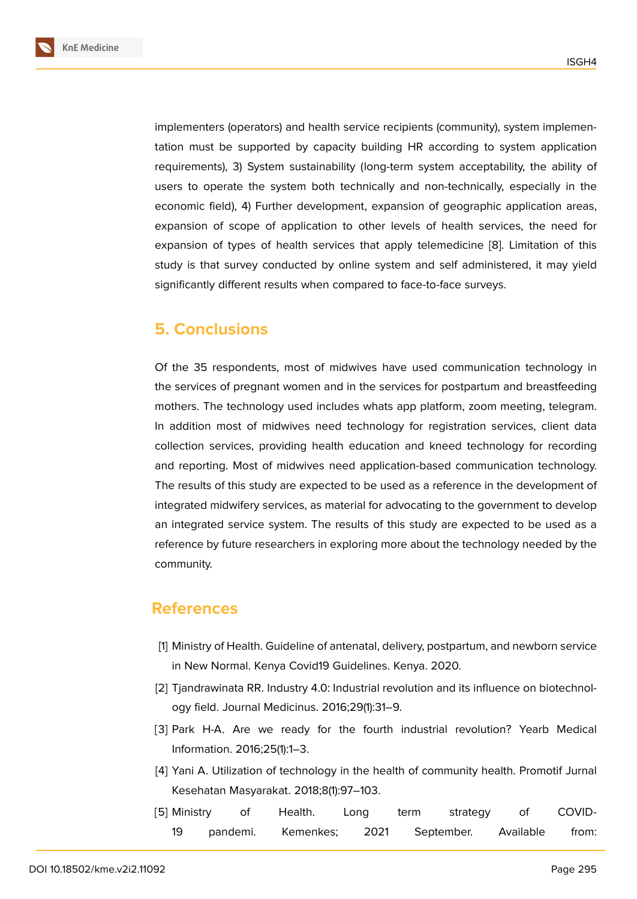implementers (operators) and health service recipients (community), system implementation must be supported by capacity building HR according to system application requirements), 3) System sustainability (long-term system acceptability, the ability of users to operate the system both technically and non-technically, especially in the economic field), 4) Further development, expansion of geographic application areas, expansion of scope of application to other levels of health services, the need for expansion of types of health services that apply telemedicine [8]. Limitation of this study is that survey conducted by online system and self administered, it may yield significantly different results when compared to face-to-face surveys.

# **5. Conclusions**

Of the 35 respondents, most of midwives have used communication technology in the services of pregnant women and in the services for postpartum and breastfeeding mothers. The technology used includes whats app platform, zoom meeting, telegram. In addition most of midwives need technology for registration services, client data collection services, providing health education and kneed technology for recording and reporting. Most of midwives need application-based communication technology. The results of this study are expected to be used as a reference in the development of integrated midwifery services, as material for advocating to the government to develop an integrated service system. The results of this study are expected to be used as a reference by future researchers in exploring more about the technology needed by the community.

# **References**

- [1] Ministry of Health. Guideline of antenatal, delivery, postpartum, and newborn service in New Normal. Kenya Covid19 Guidelines. Kenya. 2020.
- <span id="page-6-0"></span>[2] Tjandrawinata RR. Industry 4.0: Industrial revolution and its influence on biotechnology field. Journal Medicinus. 2016;29(1):31–9.
- <span id="page-6-1"></span>[3] Park H-A. Are we ready for the fourth industrial revolution? Yearb Medical Information. 2016;25(1):1–3.
- <span id="page-6-2"></span>[4] Yani A. Utilization of technology in the health of community health. Promotif Jurnal Kesehatan Masyarakat. 2018;8(1):97–103.
- <span id="page-6-3"></span>[5] Ministry of Health. Long term strategy of COVID-19 pandemi. Kemenkes; 2021 September. Available from: